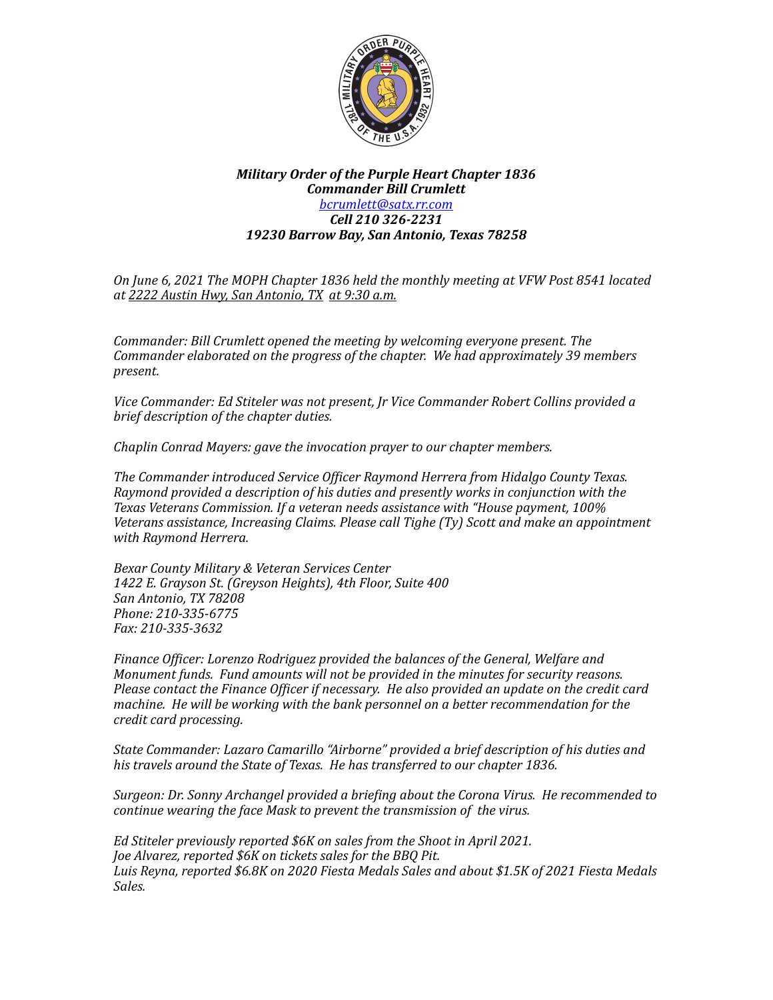

## **Military Order of the Purple Heart Chapter 1836** *Commander Bill Crumlett [bcrumlett@satx.rr.com](mailto:bcrumlett@satx.rr.com) Cell 210 326-2231 19230 Barrow Bay, San Antonio, Texas 78258*

*On June 6, 2021 The MOPH Chapter 1836 held the monthly meeting at VFW Post 8541 located at 2222 Austin Hwy, San Antonio, TX at 9:30 a.m.*

*Commander: Bill Crumlett opened the meeting by welcoming everyone present. The Commander elaborated on the progress of the chapter. We had approximately 39 members present.*

Vice Commander: Ed Stiteler was not present, Jr Vice Commander Robert Collins provided a *brief description of the chapter duties.* 

*Chaplin Conrad Mayers: gave the invocation prayer to our chapter members.* 

The Commander introduced Service Officer Raymond Herrera from Hidalgo County Texas. Raymond provided a description of his duties and presently works in conjunction with the Texas Veterans Commission. If a veteran needs assistance with "House payment, 100% Veterans assistance, *Increasing Claims. Please call Tighe (Ty)* Scott and make an appointment *with Raymond Herrera.*

*Bexar County Military & Veteran Services Center* 1422 E. Grayson St. (Greyson Heights), 4th Floor, Suite 400 *San Antonio, TX 78208 Phone: 210-335-6775 Fax: 210-335-3632*

Finance Officer: Lorenzo Rodriguez provided the balances of the General, Welfare and *Monument funds. Fund amounts will not be provided in the minutes for security reasons. Please contact the Finance Officer if necessary. He also provided an update on the credit card machine.* He will be working with the bank personnel on a better recommendation for the *credit card processing.*

State Commander: Lazaro Camarillo "Airborne" provided a brief description of his duties and his travels around the State of Texas. He has transferred to our chapter 1836.

*Surgeon: Dr. Sonny Archangel provided a briefing about the Corona Virus. He recommended to continue* wearing the face Mask to prevent the transmission of the virus.

Ed Stiteler previously reported \$6K on sales from the Shoot in April 2021. *Joe Alvarez, reported \$6K on tickets sales for the BBQ Pit.* Luis Reyna, reported \$6.8K on 2020 Fiesta Medals Sales and about \$1.5K of 2021 Fiesta Medals *Sales.*